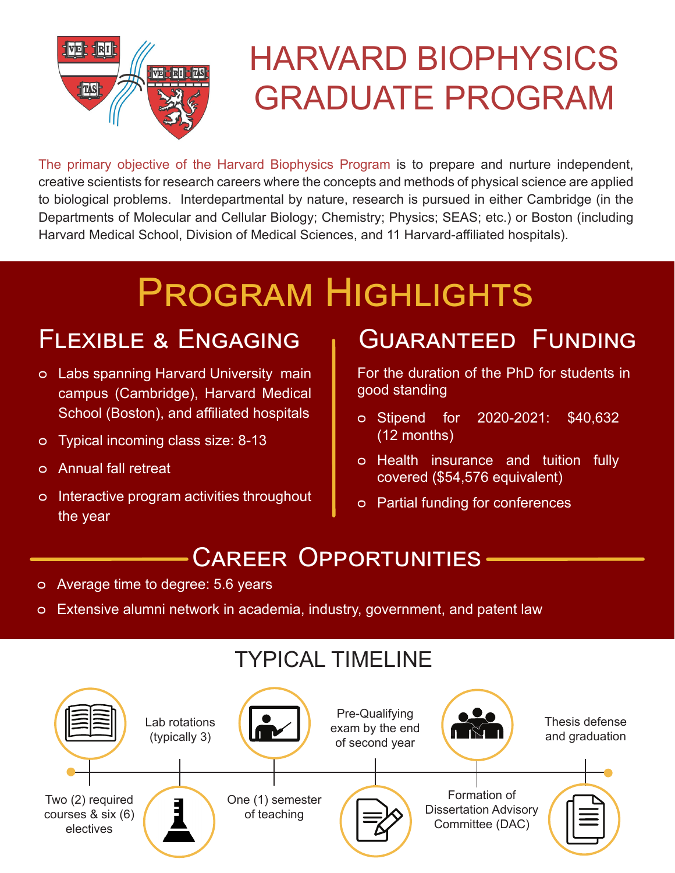

# HARVARD BIOPHYSICS GRADUATE PROGRAM

The primary objective of the Harvard Biophysics Program is to prepare and nurture independent, creative scientists for research careers where the concepts and methods of physical science are applied to biological problems. Interdepartmental by nature, research is pursued in either Cambridge (in the Departments of Molecular and Cellular Biology; Chemistry; Physics; SEAS; etc.) or Boston (including Harvard Medical School, Division of Medical Sciences, and 11 Harvard-affiliated hospitals).

# Program Highlights

- ᴑ Labs spanning Harvard University main campus (Cambridge), Harvard Medical School (Boston), and affiliated hospitals
- ᴑ Typical incoming class size: 8-13
- ᴑ Annual fall retreat
- ᴑ Interactive program activities throughout the year

### FLEXIBLE & ENGAGING | GUARANTEED FUNDING

For the duration of the PhD for students in good standing

- ᴑ Stipend for 2020-2021: \$40,632 (12 months)
- ᴑ Health insurance and tuition fully covered (\$54,576 equivalent)
- ᴑ Partial funding for conferences

### Career Opportunities

- ᴑ Average time to degree: 5.6 years
- ᴑ Extensive alumni network in academia, industry, government, and patent law